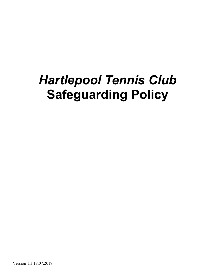# *Hartlepool Tennis Club* **Safeguarding Policy**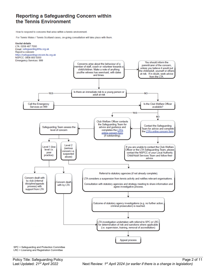### Reporting a Safeguarding Concern within the Tennis Environment

How to respond to concerns that arise within a tennis environment.

For Tennis Wales / Tennis Scotland cases, on-going consultation will take place with them.



SPC = Safeguarding and Protection Committee LRC = Licensing and Registration Committee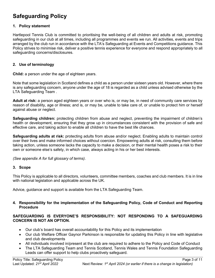# **Safeguarding Policy**

#### **1. Policy statement**

Hartlepool Tennis Club is committed to prioritising the well-being of all children and adults at risk, promoting safeguarding in our club at all times, including all programmes and events we run. All activities, events and trips arranged by the club run in accordance with the LTA's Safeguarding at Events and Competitions guidance. This Policy strives to minimise risk, deliver a positive tennis experience for everyone and respond appropriately to all safeguarding concerns/disclosures.

#### **2. Use of terminology**

**Child:** a person under the age of eighteen years.

Note that some legislation in Scotland defines a child as a person under sixteen years old. However, where there is any safeguarding concern, anyone under the age of 18 is regarded as a child unless advised otherwise by the LTA Safeguarding Team .

**Adult at risk:** a person aged eighteen years or over who is, or may be, in need of community care services by reason of disability, age or illness; and is, or may be, unable to take care of, or unable to protect him or herself against abuse or neglect.

**Safeguarding children:** protecting children from abuse and neglect, preventing the impairment of children's health or development, ensuring that they grow up in circumstances consistent with the provision of safe and effective care, and taking action to enable all children to have the best life chances.

**Safeguarding adults at risk:** protecting adults from abuse and/or neglect. Enabling adults to maintain control over their lives and make informed choices without coercion. Empowering adults at risk, consulting them before taking action, unless someone lacks the capacity to make a decision, or their mental health poses a risk to their own or someone else's safety, in which case, always acting in his or her best interests.

*(See appendix A for full glossary of terms)*.

#### **3. Scope**

This Policy is applicable to all directors, volunteers, committee members, coaches and club members. It is in line with national legislation and applicable across the UK.

Advice, guidance and support is available from the LTA Safeguarding Team.

#### **4. Responsibility for the implementation of the Safeguarding Policy, Code of Conduct and Reporting Procedure**

#### **SAFEGUARDING IS EVERYONE'S RESPONSIBILITY: NOT RESPONDING TO A SAFEGUARDING CONCERN IS NOT AN OPTION.**

- Our club's board has overall accountability for this Policy and its implementation
- Our club Welfare Officer Gaynor Parkinson is responsible for updating this Policy in line with legislative and club developments
- All individuals involved in/present at the club are required to adhere to the Policy and Code of Conduct
- The LTA Safeguarding Team and Tennis Scotland, Tennis Wales and Tennis Foundation Safeguarding Leads can offer support to help clubs proactively safeguard.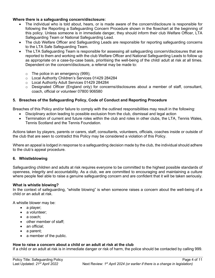#### **Where there is a safeguarding concern/disclosure:**

- The individual who is told about, hears, or is made aware of the concern/disclosure is responsible for following the Reporting a Safeguarding Concern Procedure shown in the flowchart at the beginning of this policy. Unless someone is in immediate danger, they should inform their club Welfare Officer, LTA Safeguarding Team or National Safeguarding Lead.
- The club Welfare Officer and Safeguarding Leads are responsible for reporting safeguarding concerns to the LTA Safe Safeguarding Team.
- The LTA Safeguarding Team is responsible for assessing all safeguarding concern/disclosures that are reported to them and working with the club Welfare Officer and National Safeguarding Leads to follow up as appropriate on a case-by-case basis, prioritising the well-being of the child/ adult at risk at all times. Dependent on the concern/disclosure, a referral may be made to:
	- o The police in an emergency (999);
	- o Local Authority Children's Services 01429 284284
	- o Local Authority Adult Services 01429 284284
	- o Designated Officer (England only) for concerns/disclosures about a member of staff, consultant, coach, official or volunteer 07800 906580

#### **5. Breaches of the Safeguarding Policy, Code of Conduct and Reporting Procedure**

Breaches of this Policy and/or failure to comply with the outlined responsibilities may result in the following:

- Disciplinary action leading to possible exclusion from the club, dismissal and legal action
- Termination of current and future roles within the club and roles in other clubs, the LTA, Tennis Wales, Tennis Scotland and the Tennis Foundation*.*

Actions taken by players, parents or carers, staff, consultants, volunteers, officials, coaches inside or outside of the club that are seen to contradict this Policy may be considered a violation of this Policy.

Where an appeal is lodged in response to a safeguarding decision made by the club, the individual should adhere to the club's appeal procedure.

#### **6. Whistleblowing**

Safeguarding children and adults at risk requires everyone to be committed to the highest possible standards of openness, integrity and accountability. As a club, we are committed to encouraging and maintaining a culture where people feel able to raise a genuine safeguarding concern and are confident that it will be taken seriously.

#### **What is whistle blowing?**

In the context of safeguarding, "whistle blowing" is when someone raises a concern about the well-being of a child or an adult at risk.

A whistle blower may be:

- a player;
- a volunteer:
- a coach:
- other member of staff;
- an official:
- a parent;
- a member of the public.

#### **How to raise a concern about a child or an adult at risk at the club**

If a child or an adult at risk is in immediate danger or risk of harm, the police should be contacted by calling 999.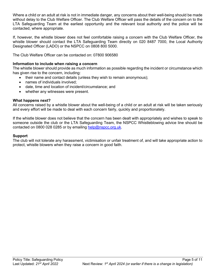Where a child or an adult at risk is not in immediate danger, any concerns about their well-being should be made without delay to the Club Welfare Officer. The Club Welfare Officer will pass the details of the concern on to the LTA Safeguarding Team at the earliest opportunity and the relevant local authority and the police will be contacted, where appropriate.

If, however, the whistle blower does not feel comfortable raising a concern with the Club Welfare Officer, the whistle blower should contact the LTA Safeguarding Team directly on 020 8487 7000, the Local Authority Designated Officer (LADO) or the NSPCC on 0808 800 5000.

The Club Welfare Officer can be contacted on: 07800 906580

#### **Information to include when raising a concern**

The whistle blower should provide as much information as possible regarding the incident or circumstance which has given rise to the concern, including:

- their name and contact details (unless they wish to remain anonymous);
- names of individuals involved;
- date, time and location of incident/circumstance; and
- whether any witnesses were present.

#### **What happens next?**

All concerns raised by a whistle blower about the well-being of a child or an adult at risk will be taken seriously and every effort will be made to deal with each concern fairly, quickly and proportionately.

If the whistle blower does not believe that the concern has been dealt with appropriately and wishes to speak to someone outside the club or the LTA Safeguarding Team, the NSPCC Whistleblowing advice line should be contacted on 0800 028 0285 or by emailing help@nspcc.org.uk.

#### **Support**

The club will not tolerate any harassment, victimisation or unfair treatment of, and will take appropriate action to protect, whistle blowers when they raise a concern in good faith.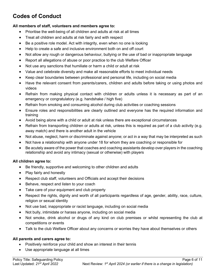# **Codes of Conduct**

#### **All members of staff, volunteers and members agree to:**

- Prioritise the well-being of all children and adults at risk at all times
- Treat all children and adults at risk fairly and with respect
- Be a positive role model. Act with integrity, even when no one is looking
- Help to create a safe and inclusive environment both on and off court
- Not allow any rough or dangerous behaviour, bullying or the use of bad or inappropriate language
- Report all allegations of abuse or poor practice to the club Welfare Officer
- Not use any sanctions that humiliate or harm a child or adult at risk
- Value and celebrate diversity and make all reasonable efforts to meet individual needs
- Keep clear boundaries between professional and personal life, including on social media
- Have the relevant consent from parents/carers, children and adults before taking or using photos and videos
- Refrain from making physical contact with children or adults unless it is necessary as part of an emergency or congratulatory (e.g. handshake / high five)
- Refrain from smoking and consuming alcohol during club activities or coaching sessions
- Ensure roles and responsibilities are clearly outlined and everyone has the required information and training
- Avoid being alone with a child or adult at risk unless there are exceptional circumstances
- Refrain from transporting children or adults at risk, unless this is required as part of a club activity (e.g. away match) and there is another adult in the vehicle
- Not abuse, neglect, harm or discriminate against anyone; or act in a way that may be interpreted as such
- Not have a relationship with anyone under 18 for whom they are coaching or responsible for
- Be acutely aware of the power that coaches and coaching assistants develop over players in the coaching relationship and avoid any intimacy (sexual or otherwise) with players

#### **All children agree to:**

- Be friendly, supportive and welcoming to other children and adults
- Play fairly and honestly
- Respect club staff, volunteers and Officials and accept their decisions
- Behave, respect and listen to your coach
- Take care of your equipment and club property
- Respect the rights, dignity and worth of all participants regardless of age, gender, ability, race, culture, religion or sexual identity
- Not use bad, inappropriate or racist language, including on social media
- Not bully, intimidate or harass anyone, including on social media
- Not smoke, drink alcohol or drugs of any kind on club premises or whilst representing the club at competitions or events
- Talk to the club Welfare Officer about any concerns or worries they have about themselves or others

#### **All parents and carers agree to:**

- Positively reinforce your child and show an interest in their tennis
- Use appropriate language at all times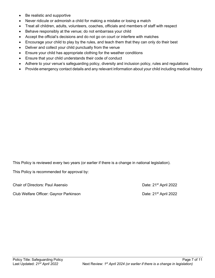- Be realistic and supportive
- Never ridicule or admonish a child for making a mistake or losing a match
- Treat all children, adults, volunteers, coaches, officials and members of staff with respect
- Behave responsibly at the venue; do not embarrass your child
- Accept the official's decisions and do not go on court or interfere with matches
- Encourage your child to play by the rules, and teach them that they can only do their best
- Deliver and collect your child punctually from the venue
- Ensure your child has appropriate clothing for the weather conditions
- Ensure that your child understands their code of conduct
- Adhere to your venue's safeguarding policy, diversity and inclusion policy, rules and regulations
- Provide emergency contact details and any relevant information about your child including medical history

This Policy is reviewed every two years (or earlier if there is a change in national legislation).

This Policy is recommended for approval by:

| <b>Chair of Directors: Paul Asensio</b> | Date: 21 <sup>st</sup> April 2022 |
|-----------------------------------------|-----------------------------------|
|                                         |                                   |

Club Welfare Officer: Gaynor Parkinson Date: 21<sup>st</sup> April 2022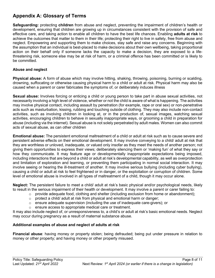## **Appendix A: Glossary of Terms**

**Safeguarding:** protecting **children** from abuse and neglect, preventing the impairment of children's health or development, ensuring that children are growing up in circumstances consistent with the provision of safe and effective care, and taking action to enable all children to have the best life chances. Enabling **adults at risk** to achieve the outcomes that matter to them in their life; protecting their right to live in safety, free from abuse and neglect. Empowering and supporting them to make choices, stay safe and raise any concerns. Beginning with the assumption that an individual is best-placed to make decisions about their own wellbeing, taking proportional action on their behalf only if someone lacks the capacity to make a decision, they are exposed to a lifethreatening risk, someone else may be at risk of harm, or a criminal offence has been committed or is likely to be committed.

#### **Abuse and neglect**

**Physical abuse:** A form of abuse which may involve hitting, shaking, throwing, poisoning, burning or scalding, drowning, suffocating or otherwise causing physical harm to a child or adult at risk. Physical harm may also be caused when a parent or carer fabricates the symptoms of, or deliberately induces illness

**Sexual abuse:** Involves forcing or enticing a child or young person to take part in abuse sexual activities, not necessarily involving a high level of violence, whether or not the child is aware of what is happening. The activities may involve physical contact, including assault by penetration (for example, rape or oral sex) or non-penetrative acts such as masturbation, kissing, rubbing and touching outside of clothing. They may also include non-contact activities, such as involving children in looking at, or in the production of, sexual images, watching sexual activities, encouraging children to behave in sexually inappropriate ways, or grooming a child in preparation for abuse (including via the internet). Sexual abuse is not solely perpetrated by adult males. Women can also commit acts of sexual abuse, as can other children

**Emotional abuse:** The persistent emotional maltreatment of a child or adult at risk such as to cause severe and persistent adverse effects on their emotional development. It may involve conveying to a child/ adult at risk that they are worthless or unloved, inadequate, or valued only insofar as they meet the needs of another person; not giving them opportunities to express their views; deliberately silencing them or 'making fun' of what they say or how they communicate. It may feature age or developmentally inappropriate expectations being imposed, including interactions that are beyond a child or adult at risk's developmental capability, as well as overprotection and limitation of exploration and learning, or preventing them participating in normal social interaction. It may involve seeing or hearing the ill-treatment of another. It may involve serious bullying (including cyber bullying), causing a child or adult at risk to feel frightened or in danger, or the exploitation or corruption of children. Some level of emotional abuse is involved in all types of maltreatment of a child, though it may occur alone.

**Neglect:** The persistent failure to meet a child/ adult at risk's basic physical and/or psychological needs, likely to result in the serious impairment of their health or development. It may involve a parent or carer failing to:

- $\circ$  provide adequate food, clothing and shelter (including exclusion from home or abandonment);
- $\circ$  protect a child/ adult at risk from physical and emotional harm or danger;
- $\circ$  ensure adequate supervision (including the use of inadequate care-givers); or
- o ensure access to appropriate medical care or treatment.

It may also include neglect of, or unresponsiveness to, a child's or adult at risk's basic emotional needs. Neglect may occur during pregnancy as a result of maternal substance abuse.

#### **Additional examples of abuse and neglect of adults at risk**

**Financial abuse**: having money or property stolen; being defrauded; being put under pressure in relation to money or other property; and having money or other property misused.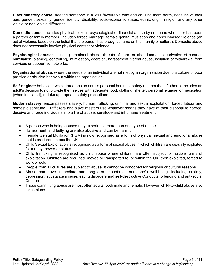**Discriminatory abuse**: treating someone in a less favourable way and causing them harm, because of their age, gender, sexuality, gender identity, disability, socio-economic status, ethnic origin, religion and any other visible or non-visible difference.

**Domestic abuse**: includes physical, sexual, psychological or financial abuse by someone who is, or has been a partner or family member. Includes forced marriage, female genital mutilation and honour-based violence (an act of violence based on the belief that the person has brought shame on their family or culture). Domestic abuse does not necessarily involve physical contact or violence.

Psychological abuse: including emotional abuse, threats of harm or abandonment, deprivation of contact. humiliation, blaming, controlling, intimidation, coercion, harassment, verbal abuse, isolation or withdrawal from services or supportive networks.

**Organisational abuse**: where the needs of an individual are not met by an organisation due to a culture of poor practice or abusive behaviour within the organisation.

**Self-neglect:** behaviour which threatens an adult's personal health or safety (but not that of others). Includes an adult's decision to not provide themselves with adequate food, clothing, shelter, personal hygiene, or medication (when indicated), or take appropriate safety precautions

**Modern slavery**: encompasses slavery, human trafficking, criminal and sexual exploitation, forced labour and domestic servitude. Traffickers and slave masters use whatever means they have at their disposal to coerce, deceive and force individuals into a life of abuse, servitude and inhumane treatment.

- A person who is being abused may experience more than one type of abuse
- Harassment, and bullying are also abusive and can be harmful
- Female Genital Mutilation (FGM) is now recognised as a form of physical, sexual and emotional abuse that is practised across the UK
- Child Sexual Exploitation is recognised as a form of sexual abuse in which children are sexually exploited for money, power or status
- Child trafficking is recognised as child abuse where children are often subject to multiple forms of exploitation. Children are recruited, moved or transported to, or within the UK, then exploited, forced to work or sold
- People from all cultures are subject to abuse. It cannot be condoned for religious or cultural reasons
- Abuse can have immediate and long-term impacts on someone's well-being, including anxiety, depression, substance misuse, eating disorders and self-destructive Conducts, offending and anti-social **Conduct**
- Those committing abuse are most often adults, both male and female. However, child-to-child abuse also takes place.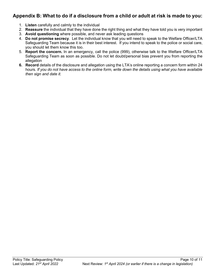## **Appendix B: What to do if a disclosure from a child or adult at risk is made to you:**

- 1. **Listen** carefully and calmly to the individual
- 2. **Reassure** the individual that they have done the right thing and what they have told you is very important
- 3. **Avoid questioning** where possible, and never ask leading questions
- 4. **Do not promise secrecy**. Let the individual know that you will need to speak to the Welfare Officer/LTA Safeguarding Team because it is in their best interest. If you intend to speak to the police or social care, you should let them know this too.
- 5. **Report the concern.** In an emergency, call the police (999), otherwise talk to the Welfare Officer/LTA Safeguarding Team as soon as possible. Do not let doubt/personal bias prevent you from reporting the allegation
- **6. Record** details of the disclosure and allegation using the LTA's online reporting a concern form within 24 hours*. If you do not have access to the online form, write down the details using what you have available then sign and date it.*